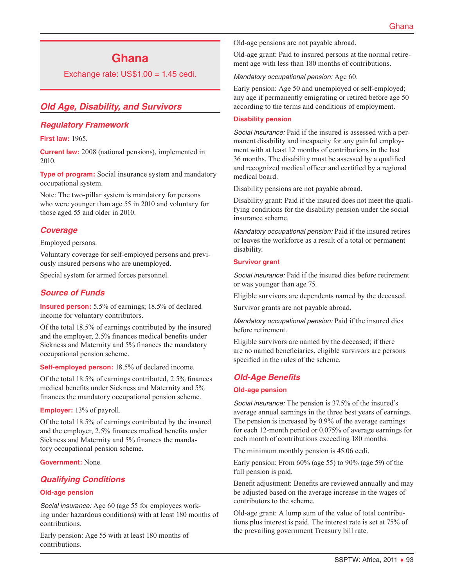# **Ghana**

Exchange rate:  $US$1.00 = 1.45$  cedi.

# *Old Age, Disability, and Survivors*

#### *Regulatory Framework*

**First law:** 1965.

**Current law:** 2008 (national pensions), implemented in 2010.

**Type of program:** Social insurance system and mandatory occupational system.

Note: The two-pillar system is mandatory for persons who were younger than age 55 in 2010 and voluntary for those aged 55 and older in 2010.

#### *Coverage*

Employed persons.

Voluntary coverage for self-employed persons and previously insured persons who are unemployed.

Special system for armed forces personnel.

#### *Source of Funds*

**Insured person:** 5.5% of earnings; 18.5% of declared income for voluntary contributors.

Of the total 18.5% of earnings contributed by the insured and the employer, 2.5% finances medical benefits under Sickness and Maternity and 5% finances the mandatory occupational pension scheme.

**Self-employed person:** 18.5% of declared income.

Of the total 18.5% of earnings contributed, 2.5% finances medical benefits under Sickness and Maternity and 5% finances the mandatory occupational pension scheme.

**Employer:** 13% of payroll.

Of the total 18.5% of earnings contributed by the insured and the employer, 2.5% finances medical benefits under Sickness and Maternity and 5% finances the mandatory occupational pension scheme.

**Government:** None.

#### *Qualifying Conditions*

#### **Old-age pension**

*Social insurance:* Age 60 (age 55 for employees working under hazardous conditions) with at least 180 months of contributions.

Early pension: Age 55 with at least 180 months of contributions.

Old-age pensions are not payable abroad.

Old-age grant: Paid to insured persons at the normal retirement age with less than 180 months of contributions.

*Mandatory occupational pension:* Age 60.

Early pension: Age 50 and unemployed or self-employed; any age if permanently emigrating or retired before age 50 according to the terms and conditions of employment.

#### **Disability pension**

*Social insurance:* Paid if the insured is assessed with a permanent disability and incapacity for any gainful employment with at least 12 months of contributions in the last 36 months. The disability must be assessed by a qualified and recognized medical officer and certified by a regional medical board.

Disability pensions are not payable abroad.

Disability grant: Paid if the insured does not meet the qualifying conditions for the disability pension under the social insurance scheme.

*Mandatory occupational pension:* Paid if the insured retires or leaves the workforce as a result of a total or permanent disability.

#### **Survivor grant**

*Social insurance:* Paid if the insured dies before retirement or was younger than age 75.

Eligible survivors are dependents named by the deceased.

Survivor grants are not payable abroad.

*Mandatory occupational pension:* Paid if the insured dies before retirement.

Eligible survivors are named by the deceased; if there are no named beneficiaries, eligible survivors are persons specified in the rules of the scheme.

# *Old-Age Benefits*

#### **Old-age pension**

*Social insurance:* The pension is 37.5% of the insured's average annual earnings in the three best years of earnings. The pension is increased by 0.9% of the average earnings for each 12-month period or 0.075% of average earnings for each month of contributions exceeding 180 months.

The minimum monthly pension is 45.06 cedi.

Early pension: From 60% (age 55) to 90% (age 59) of the full pension is paid.

Benefit adjustment: Benefits are reviewed annually and may be adjusted based on the average increase in the wages of contributors to the scheme.

Old-age grant: A lump sum of the value of total contributions plus interest is paid. The interest rate is set at 75% of the prevailing government Treasury bill rate.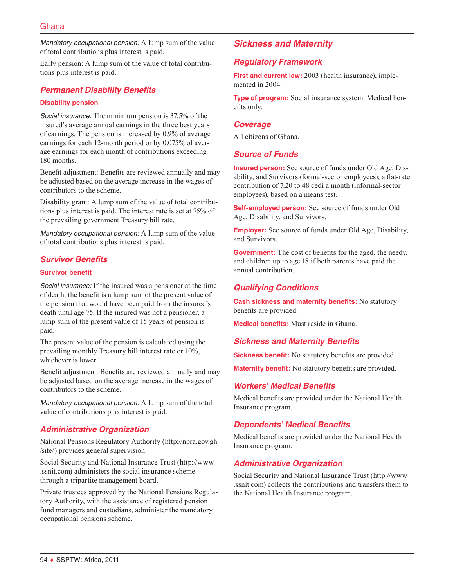*Mandatory occupational pension:* A lump sum of the value of total contributions plus interest is paid.

Early pension: A lump sum of the value of total contributions plus interest is paid.

### *Permanent Disability Benefits*

#### **Disability pension**

*Social insurance:* The minimum pension is 37.5% of the insured's average annual earnings in the three best years of earnings. The pension is increased by 0.9% of average earnings for each 12-month period or by 0.075% of average earnings for each month of contributions exceeding 180 months.

Benefit adjustment: Benefits are reviewed annually and may be adjusted based on the average increase in the wages of contributors to the scheme.

Disability grant: A lump sum of the value of total contributions plus interest is paid. The interest rate is set at 75% of the prevailing government Treasury bill rate.

*Mandatory occupational pension:* A lump sum of the value of total contributions plus interest is paid.

# *Survivor Benefits*

#### **Survivor benefit**

*Social insurance:* If the insured was a pensioner at the time of death, the benefit is a lump sum of the present value of the pension that would have been paid from the insured's death until age 75. If the insured was not a pensioner, a lump sum of the present value of 15 years of pension is paid.

The present value of the pension is calculated using the prevailing monthly Treasury bill interest rate or 10%, whichever is lower.

Benefit adjustment: Benefits are reviewed annually and may be adjusted based on the average increase in the wages of contributors to the scheme.

*Mandatory occupational pension:* A lump sum of the total value of contributions plus interest is paid.

#### *Administrative Organization*

National Pensions Regulatory Authority [\(http://npra.gov.gh](http://npra.gov.gh/site/) [/site/](http://npra.gov.gh/site/)) provides general supervision.

Social Security and National Insurance Trust ([http://www](http://www.ssnit.com) [.ssnit.com](http://www.ssnit.com)) administers the social insurance scheme through a tripartite management board.

Private trustees approved by the National Pensions Regulatory Authority, with the assistance of registered pension fund managers and custodians, administer the mandatory occupational pensions scheme.

# *Sickness and Maternity*

#### *Regulatory Framework*

**First and current law:** 2003 (health insurance), implemented in 2004.

**Type of program:** Social insurance system. Medical benefits only.

#### *Coverage*

All citizens of Ghana.

#### *Source of Funds*

**Insured person:** See source of funds under Old Age, Disability, and Survivors (formal-sector employees); a flat-rate contribution of 7.20 to 48 cedi a month (informal-sector employees), based on a means test.

**Self-employed person:** See source of funds under Old Age, Disability, and Survivors.

**Employer:** See source of funds under Old Age, Disability, and Survivors.

**Government:** The cost of benefits for the aged, the needy, and children up to age 18 if both parents have paid the annual contribution.

# *Qualifying Conditions*

**Cash sickness and maternity benefits:** No statutory benefits are provided.

**Medical benefits:** Must reside in Ghana.

#### *Sickness and Maternity Benefits*

**Sickness benefit:** No statutory benefits are provided.

**Maternity benefit:** No statutory benefits are provided.

#### *Workers' Medical Benefits*

Medical benefits are provided under the National Health Insurance program.

#### *Dependents' Medical Benefits*

Medical benefits are provided under the National Health Insurance program.

#### *Administrative Organization*

Social Security and National Insurance Trust ([http://www](http://www.ssnit.com) [.ssnit.com](http://www.ssnit.com)) collects the contributions and transfers them to the National Health Insurance program.